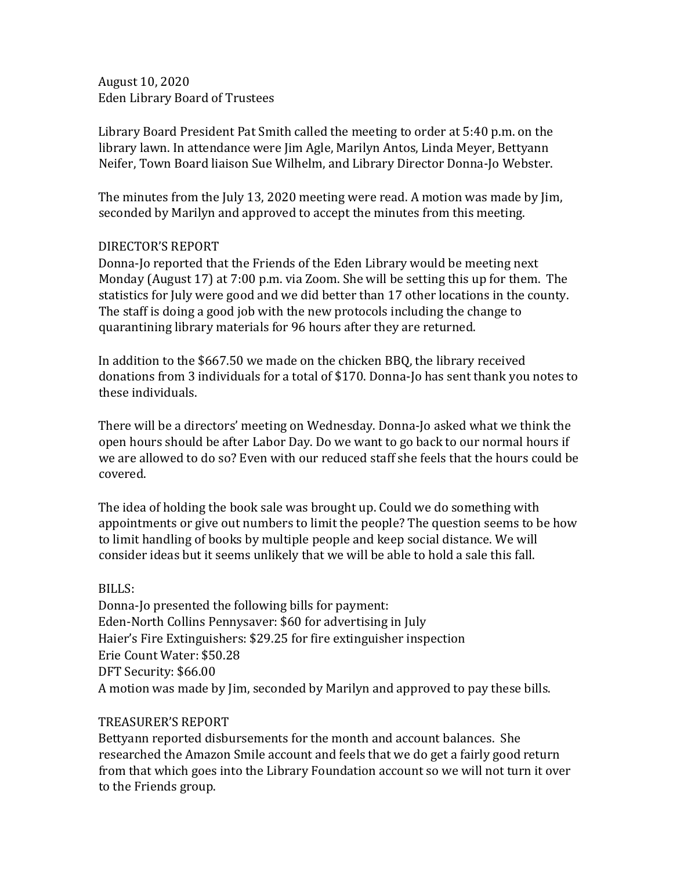August 10, 2020 Eden Library Board of Trustees

Library Board President Pat Smith called the meeting to order at 5:40 p.m. on the library lawn. In attendance were Jim Agle, Marilyn Antos, Linda Meyer, Bettyann Neifer, Town Board liaison Sue Wilhelm, and Library Director Donna-Jo Webster.

The minutes from the July 13, 2020 meeting were read. A motion was made by Jim, seconded by Marilyn and approved to accept the minutes from this meeting.

## DIRECTOR'S REPORT

Donna-Jo reported that the Friends of the Eden Library would be meeting next Monday (August 17) at 7:00 p.m. via Zoom. She will be setting this up for them. The statistics for July were good and we did better than 17 other locations in the county. The staff is doing a good job with the new protocols including the change to quarantining library materials for 96 hours after they are returned.

In addition to the \$667.50 we made on the chicken BBQ, the library received donations from 3 individuals for a total of \$170. Donna-Jo has sent thank you notes to these individuals.

There will be a directors' meeting on Wednesday. Donna-Jo asked what we think the open hours should be after Labor Day. Do we want to go back to our normal hours if we are allowed to do so? Even with our reduced staff she feels that the hours could be covered.

The idea of holding the book sale was brought up. Could we do something with appointments or give out numbers to limit the people? The question seems to be how to limit handling of books by multiple people and keep social distance. We will consider ideas but it seems unlikely that we will be able to hold a sale this fall.

## BILLS:

Donna-Jo presented the following bills for payment: Eden-North Collins Pennysaver: \$60 for advertising in July Haier's Fire Extinguishers: \$29.25 for fire extinguisher inspection Erie Count Water: \$50.28 DFT Security: \$66.00 A motion was made by Jim, seconded by Marilyn and approved to pay these bills.

## TREASURER'S REPORT

Bettyann reported disbursements for the month and account balances. She researched the Amazon Smile account and feels that we do get a fairly good return from that which goes into the Library Foundation account so we will not turn it over to the Friends group.